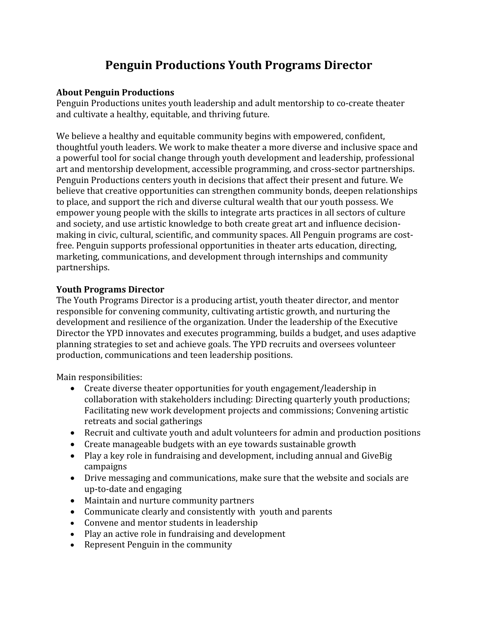## **Penguin Productions Youth Programs Director**

## **About Penguin Productions**

Penguin Productions unites youth leadership and adult mentorship to co-create theater and cultivate a healthy, equitable, and thriving future.

We believe a healthy and equitable community begins with empowered, confident, thoughtful youth leaders. We work to make theater a more diverse and inclusive space and a powerful tool for social change through youth development and leadership, professional art and mentorship development, accessible programming, and cross-sector partnerships. Penguin Productions centers youth in decisions that affect their present and future. We believe that creative opportunities can strengthen community bonds, deepen relationships to place, and support the rich and diverse cultural wealth that our youth possess. We empower young people with the skills to integrate arts practices in all sectors of culture and society, and use artistic knowledge to both create great art and influence decisionmaking in civic, cultural, scientific, and community spaces. All Penguin programs are costfree. Penguin supports professional opportunities in theater arts education, directing, marketing, communications, and development through internships and community partnerships.

## **Youth Programs Director**

The Youth Programs Director is a producing artist, youth theater director, and mentor responsible for convening community, cultivating artistic growth, and nurturing the development and resilience of the organization. Under the leadership of the Executive Director the YPD innovates and executes programming, builds a budget, and uses adaptive planning strategies to set and achieve goals. The YPD recruits and oversees volunteer production, communications and teen leadership positions.

Main responsibilities:

- Create diverse theater opportunities for youth engagement/leadership in collaboration with stakeholders including: Directing quarterly youth productions; Facilitating new work development projects and commissions; Convening artistic retreats and social gatherings
- Recruit and cultivate youth and adult volunteers for admin and production positions
- Create manageable budgets with an eye towards sustainable growth
- Play a key role in fundraising and development, including annual and GiveBig campaigns
- Drive messaging and communications, make sure that the website and socials are up-to-date and engaging
- Maintain and nurture community partners
- Communicate clearly and consistently with youth and parents
- Convene and mentor students in leadership
- Play an active role in fundraising and development
- Represent Penguin in the community